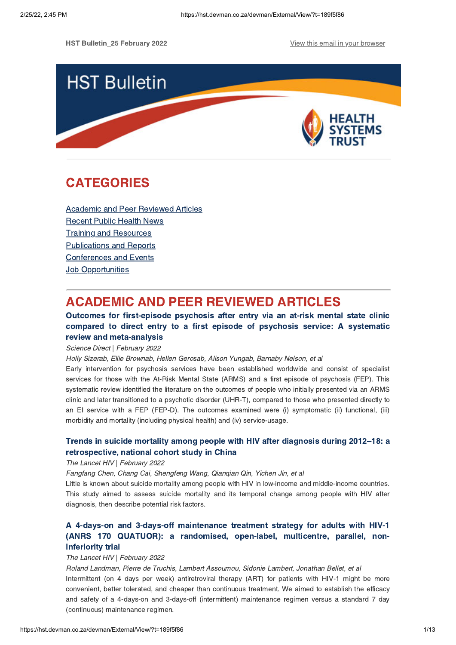HST Bulletin 25 February 2022 **View this email in your [browser](https://hst.devman.co.za/devman/external/?t=45cb8e3a&t1=189f5f86)** 



## **CATEGORIES** CATEGORIES<br>CATEGORIES

Academic and Peer [Reviewed](#page-0-0) Articles [Recent](#page-4-0) Public Health News Training and Resources [Publications](#page-10-0) and Reports [Conferences](#page-10-1) and Events **Job [Opportunities](#page-12-0)** 

## <span id="page-0-0"></span>**ACADEMIC AND PEER REVIEWED ARTICLES**

### Outcomes for first-episode psychosis after entry via an at-risk mental state clinic compared to direct entry to a first episode of psychosis service: A systematic review and meta-analysis

Science Direct | February 2022

Holly Sizerab, Ellie Brownab, Hellen Gerosab, Alison Yungab, Barnaby Nelson, et al

Early intervention for psychosis services have been established worldwide and consist of specialist services for those with the At-Risk Mental State (ARMS) and a first episode of psychosis (FEP). This systematic review identified the literature on the outcomes of people who initially presented via an ARMS clinic and later transitioned to a psychotic disorder (UHR-T), compared to those who presented directly to an EI service with a FEP (FEP-D). The outcomes examined were (i) symptomatic (ii) functional, (iii) morbidity and mortality (including physical health) and (iv) service-usage.

# Trends in suicide mortality among people with HIV after diagnosis during 2012[–18:](https://hst.devman.co.za/devman/external/?t=b46626f8) a

## retrospective, national cohort study in China The Lancet HIV | February 2022

Fangfang Chen, Chang Cai, Shengfeng Wang, Qianqian Qin, Yichen Jin, et al

Little is known about suicide mortality among people with HIV in low-income and middle-income countries. This study aimed to assess suicide mortality and its temporal change among people with HIV after diagnosis, then describe potential risk factors.

## A 4-days-on and 3-days-off [maintenance](https://hst.devman.co.za/devman/external/?t=b275699d) treatment strategy for adults with HIV-1 (ANRS 170 QUATUOR): a randomised, open-label, multicentre, parallel, noninferiority trial

## mented by the little trial of the Lancet HIV | February 2022

Roland Landman, Pierre de Truchis, Lambert Assoumou, Sidonie Lambert, Jonathan Bellet, et al Intermittent (on 4 days per week) antiretroviral therapy (ART) for patients with HIV-1 might be more convenient, better tolerated, and cheaper than continuous treatment. We aimed to establish the efficacy and safety of a 4-days-on and 3-days-off (intermittent) maintenance regimen versus a standard 7 day (continuous) maintenance regimen.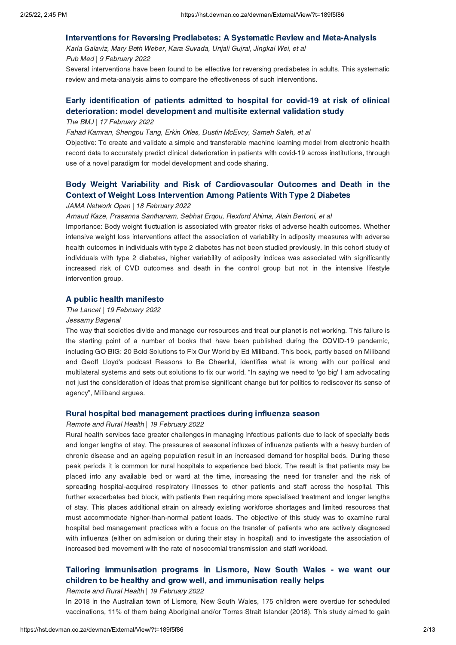Interventions for Reversing Prediabetes: A Systematic Review and Meta-Analysis Karla Galaviz, Mary Beth Weber, Kara Suvada, Unjali Gujral, Jingkai Wei, et al Pub Med | 9 February 2022

Several interventions have been found to be effective for reversing prediabetes in adults. This systematic review and meta-analysis aims to compare the effectiveness of such interventions.

## Early [identification](https://hst.devman.co.za/devman/external/?t=2110035b) of patients admitted to hospital for covid-19 at risk of clinical deterioration: model development and multisite external validation study The BMJ | 17 February 2022

Fahad Kamran, Shengpu Tang, Erkin Otles, Dustin McEvoy, Sameh Saleh, et al

Objective: To create and validate a simple and transferable machine learning model from electronic health record data to accurately predict clinical deterioration in patients with covid-19 across institutions, through use of a novel paradigm for model development and code sharing.

# Body Weight Variability and Risk of [Cardiovascular](https://hst.devman.co.za/devman/external/?t=93f0b57c) Outcomes and Death in the Context of Weight Loss Intervention Among Patients With Type 2 Diabetes

## JAMA Network Open | 18 February 2022

Arnaud Kaze, Prasanna Santhanam, Sebhat Erqou, Rexford Ahima, Alain Bertoni, et al

Importance: Body weight fluctuation is associated with greater risks of adverse health outcomes. Whether intensive weight loss interventions affect the association of variability in adiposity measures with adverse health outcomes in individuals with type 2 diabetes has not been studied previously. In this cohort study of individuals with type 2 diabetes, higher variability of adiposity indices was associated with significantly increased risk of CVD outcomes and death in the control group but not in the intensive lifestyle intervention group.

## The Lancet | 19 February 2022

### Jessamy Bagenal

The way that societies divide and manage our resources and treat our planet is not working. This failure is the starting point of a number of books that have been published during the COVID-19 pandemic, including GO BIG: 20 Bold Solutions to Fix Our World by Ed Miliband. This book, partly based on Miliband and Geoff Lloyd's podcast Reasons to Be Cheerful, identifies what is wrong with our political and multilateral systems and sets out solutions to fix our world. "In saying we need to 'go big' I am advocating not just the consideration of ideas that promise significant change but for politics to rediscover its sense of agency", Miliband argues.

## Rural hospital bed management practices during influenza season Remote and Rural Health | 19 February 2022

Rural health services face greater challenges in managing infectious patients due to lack of specialty beds and longer lengths of stay. The pressures of seasonal influxes of influenza patients with a heavy burden of chronic disease and an ageing population result in an increased demand for hospital beds. During these peak periods it is common for rural hospitals to experience bed block. The result is that patients may be placed into any available bed or ward at the time, increasing the need for transfer and the risk of spreading hospital-acquired respiratory illnesses to other patients and staff across the hospital. This further exacerbates bed block, with patients then requiring more specialised treatment and longer lengths of stay. This places additional strain on already existing workforce shortages and limited resources that must accommodate higher-than-normal patient loads. The objective of this study was to examine rural hospital bed management practices with a focus on the transfer of patients who are actively diagnosed with influenza (either on admission or during their stay in hospital) and to investigate the association of increased bed movement with the rate of nosocomial transmission and staff workload.

# Tailoring [immunisation](https://hst.devman.co.za/devman/external/?t=e55708d4) programs in Lismore, New South Wales - we want our

Remote and Rural Health | 19 February 2022

In 2018 in the Australian town of Lismore, New South Wales, 175 children were overdue for scheduled vaccinations, 11% of them being Aboriginal and/or Torres Strait Islander (2018). This study aimed to gain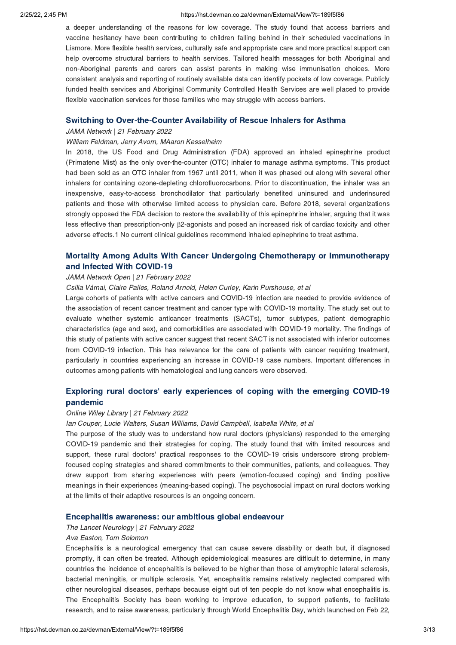### 2/25/22, 2:45 PM https://hst.devman.co.za/devman/External/View/?t=189f5f86

a deeper understanding of the reasons for low coverage. The study found that access barriers and vaccine hesitancy have been contributing to children falling behind in their scheduled vaccinations in Lismore. More flexible health services, culturally safe and appropriate care and more practical support can help overcome structural barriers to health services. Tailored health messages for both Aboriginal and non-Aboriginal parents and carers can assist parents in making wise immunisation choices. More consistent analysis and reporting of routinely available data can identify pockets of low coverage. Publicly funded health services and Aboriginal Community Controlled Health Services are well placed to provide flexible vaccination services for those families who may struggle with access barriers.

Switching to Over-the-Counter Availability of Rescue Inhalers for Asthma JAMA Network | 21 February 2022

### William Feldman, Jerry Avorn, MAaron Kesselheim

In 2018, the US Food and Drug Administration (FDA) approved an inhaled epinephrine product (Primatene Mist) as the only over-the-counter (OTC) inhaler to manage asthma symptoms. This product had been sold as an OTC inhaler from 1967 until 2011, when it was phased out along with several other inhalers for containing ozone-depleting chlorofluorocarbons. Prior to discontinuation, the inhaler was an inexpensive, easy-to-access bronchodilator that particularly benefited uninsured and underinsured patients and those with otherwise limited access to physician care. Before 2018, several organizations strongly opposed the FDA decision to restore the availability of this epinephrine inhaler, arguing that it was less effective than prescription-only β2-agonists and posed an increased risk of cardiac toxicity and other adverse effects.1 No current clinical guidelines recommend inhaled epinephrine to treat asthma.

# Mortality Among Adults With Cancer Undergoing Chemotherapy or [Immunotherapy](https://hst.devman.co.za/devman/external/?t=53f1a292)

## JAMA Network Open | 21 February 2022

Csilla Várnai, Claire Palles, Roland Arnold, Helen Curley, Karin Purshouse, et al

Large cohorts of patients with active cancers and COVID-19 infection are needed to provide evidence of the association of recent cancer treatment and cancer type with COVID-19 mortality. The study set out to evaluate whether systemic anticancer treatments (SACTs), tumor subtypes, patient demographic characteristics (age and sex), and comorbidities are associated with COVID-19 mortality. The findings of this study of patients with active cancer suggest that recent SACT is not associated with inferior outcomes from COVID-19 infection. This has relevance for the care of patients with cancer requiring treatment, particularly in countries experiencing an increase in COVID-19 case numbers. Important differences in outcomes among patients with hematological and lung cancers were observed.

# Exploring rural doctors' early [experiences](https://hst.devman.co.za/devman/external/?t=c6d254b3) of coping with the emerging COVID-19

## pandemic Online Wiley Library | 21 February 2022

Ian Couper, Lucie Walters, Susan Williams, David Campbell, Isabella White, et al

The purpose of the study was to understand how rural doctors (physicians) responded to the emerging COVID-19 pandemic and their strategies for coping. The study found that with limited resources and support, these rural doctors' practical responses to the COVID-19 crisis underscore strong problemfocused coping strategies and shared commitments to their communities, patients, and colleagues. They drew support from sharing experiences with peers (emotion-focused coping) and finding positive meanings in their experiences (meaning-based coping). The psychosocial impact on rural doctors working at the limits of their adaptive resources is an ongoing concern.

## Encephalitis awareness: our ambitious global endeavour The Lancet Neurology | 21 February 2022

### Ava Easton, Tom Solomon

Encephalitis is a neurological emergency that can cause severe disability or death but, if diagnosed promptly, it can often be treated. Although epidemiological measures are difficult to determine, in many countries the incidence of encephalitis is believed to be higher than those of amytrophic lateral sclerosis, bacterial meningitis, or multiple sclerosis. Yet, encephalitis remains relatively neglected compared with other neurological diseases, perhaps because eight out of ten people do not know what encephalitis is. The Encephalitis Society has been working to improve education, to support patients, to facilitate research, and to raise awareness, particularly through World Encephalitis Day, which launched on Feb 22,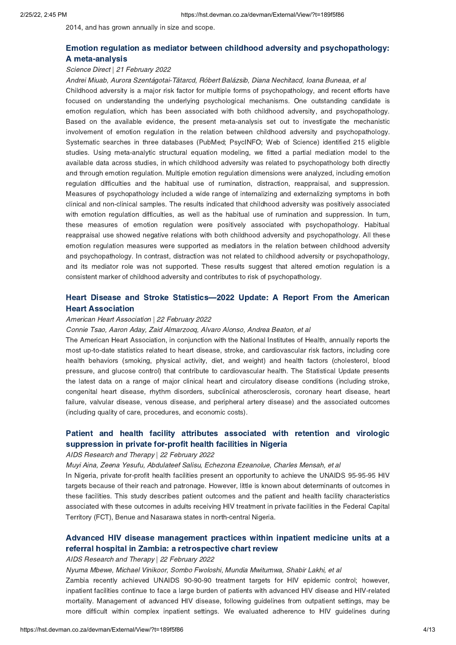2014, and has grown annually in size and scope.

# Emotion regulation as mediator between childhood adversity and [psychopathology:](https://hst.devman.co.za/devman/external/?t=37c24a79)

## A meta-analysis Science Direct | 21 February 2022

Andrei Miuab, Aurora Szentágotai-Tătarcd, Róbert Balázsib, Diana Nechitacd, Ioana Buneaa, et al Childhood adversity is a major risk factor for multiple forms of psychopathology, and recent efforts have focused on understanding the underlying psychological mechanisms. One outstanding candidate is emotion regulation, which has been associated with both childhood adversity, and psychopathology. Based on the available evidence, the present meta-analysis set out to investigate the mechanistic involvement of emotion regulation in the relation between childhood adversity and psychopathology. Systematic searches in three databases (PubMed; PsycINFO; Web of Science) identified 215 eligible studies. Using meta-analytic structural equation modeling, we fitted a partial mediation model to the available data across studies, in which childhood adversity was related to psychopathology both directly and through emotion regulation. Multiple emotion regulation dimensions were analyzed, including emotion regulation difficulties and the habitual use of rumination, distraction, reappraisal, and suppression. Measures of psychopathology included a wide range of internalizing and externalizing symptoms in both clinical and non-clinical samples. The results indicated that childhood adversity was positively associated with emotion regulation difficulties, as well as the habitual use of rumination and suppression. In turn, these measures of emotion regulation were positively associated with psychopathology. Habitual reappraisal use showed negative relations with both childhood adversity and psychopathology. All these emotion regulation measures were supported as mediators in the relation between childhood adversity and psychopathology. In contrast, distraction was not related to childhood adversity or psychopathology, and its mediator role was not supported. These results suggest that altered emotion regulation is a consistent marker of childhood adversity and contributes to risk of psychopathology.

# Heart Disease and Stroke Statistics[—2022](https://hst.devman.co.za/devman/external/?t=337c3116) Update: A Report From the American

## Heart Association American Heart Association | 22 February 2022

Connie Tsao, Aaron Aday, Zaid Almarzooq, Alvaro Alonso, Andrea Beaton, et al

The American Heart Association, in conjunction with the National Institutes of Health, annually reports the most up-to-date statistics related to heart disease, stroke, and cardiovascular risk factors, including core health behaviors (smoking, physical activity, diet, and weight) and health factors (cholesterol, blood pressure, and glucose control) that contribute to cardiovascular health. The Statistical Update presents the latest data on a range of major clinical heart and circulatory disease conditions (including stroke, congenital heart disease, rhythm disorders, subclinical atherosclerosis, coronary heart disease, heart failure, valvular disease, venous disease, and peripheral artery disease) and the associated outcomes (including quality of care, procedures, and economic costs).

# Patient and health facility attributes [associated](https://hst.devman.co.za/devman/external/?t=a65ce337) with retention and virologic suppression in private for-profit health facilities in Nigeria

## suppression in private for-profit health facilities in Nigeria AIDS Research and Therapy | 22 February 2022

Muyi Aina, Zeena Yesufu, Abdulateef Salisu, Echezona Ezeanolue, Charles Mensah, et al

In Nigeria, private for-profit health facilities present an opportunity to achieve the UNAIDS 95-95-95 HIV targets because of their reach and patronage. However, little is known about determinants of outcomes in these facilities. This study describes patient outcomes and the patient and health facility characteristics associated with these outcomes in adults receiving HIV treatment in private facilities in the Federal Capital Territory (FCT), Benue and Nasarawa states in north-central Nigeria.

# Advanced HIV disease [management](https://hst.devman.co.za/devman/external/?t=8bb763dc) practices within inpatient medicine units at a referral hospital in Zambia: a retrospective chart review

## referral hospital in Zambia: a retrospective chart review AIDS Research and Therapy | 22 February 2022

Nyuma Mbewe, Michael Vinikoor, Sombo Fwoloshi, Mundia Mwitumwa, Shabir Lakhi, et al

Zambia recently achieved UNAIDS 90-90-90 treatment targets for HIV epidemic control; however, inpatient facilities continue to face a large burden of patients with advanced HIV disease and HIV-related mortality. Management of advanced HIV disease, following guidelines from outpatient settings, may be more difficult within complex inpatient settings. We evaluated adherence to HIV guidelines during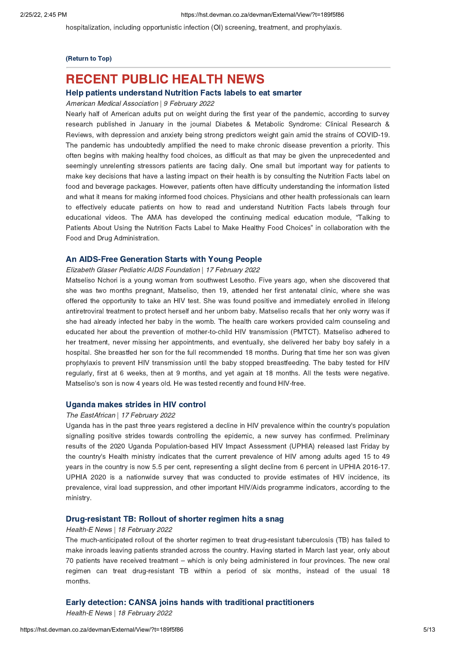hospitalization, including opportunistic infection (OI) screening, treatment, and prophylaxis.

## (Return to Top)

## <span id="page-4-0"></span>**RECENT PUBLIC HEALTH NEWS**

### Help patients understand Nutrition Facts labels to eat smarter

## Help patients understand Nutrition Facts labels to eat smarter American Medical Association | 9 February 2022

Nearly half of American adults put on weight during the first year of the pandemic, according to survey research published in January in the journal Diabetes & Metabolic Syndrome: Clinical Research & Reviews, with depression and anxiety being strong predictors weight gain amid the strains of COVID-19. The pandemic has undoubtedly amplified the need to make chronic disease prevention a priority. This often begins with making healthy food choices, as difficult as that may be given the unprecedented and seemingly unrelenting stressors patients are facing daily. One small but important way for patients to make key decisions that have a lasting impact on their health is by consulting the Nutrition Facts label on food and beverage packages. However, patients often have difficulty understanding the information listed and what it means for making informed food choices. Physicians and other health professionals can learn to effectively educate patients on how to read and understand Nutrition Facts labels through four educational videos. The AMA has developed the continuing medical education module, "Talking to Patients About Using the Nutrition Facts Label to Make Healthy Food Choices" in collaboration with the Food and Drug Administration.

## Elizabeth Glaser Pediatric AIDS Foundation | 17 February 2022

Matseliso Nchori is a young woman from southwest Lesotho. Five years ago, when she discovered that she was two months pregnant, Matseliso, then 19, attended her first antenatal clinic, where she was offered the opportunity to take an HIV test. She was found positive and immediately enrolled in lifelong antiretroviral treatment to protect herself and her unborn baby. Matseliso recalls that her only worry was if she had already infected her baby in the womb. The health care workers provided calm counseling and educated her about the prevention of mother-to-child HIV transmission (PMTCT). Matseliso adhered to her treatment, never missing her appointments, and eventually, she delivered her baby boy safely in a hospital. She breastfed her son for the full recommended 18 months. During that time her son was given prophylaxis to prevent HIV transmission until the baby stopped breastfeeding. The baby tested for HIV regularly, first at 6 weeks, then at 9 months, and yet again at 18 months. All the tests were negative. Matseliso's son is now 4 years old. He was tested recently and found HIV-free.

## Uganda makes strides in HIV control The EastAfrican | 17 February 2022

Uganda has in the past three years registered a decline in HIV prevalence within the country's population signalling positive strides towards controlling the epidemic, a new survey has confirmed. Preliminary results of the 2020 Uganda Population-based HIV Impact Assessment (UPHIA) released last Friday by the country's Health ministry indicates that the current prevalence of HIV among adults aged 15 to 49 years in the country is now 5.5 per cent, representing a slight decline from 6 percent in UPHIA 2016-17. UPHIA 2020 is a nationwide survey that was conducted to provide estimates of HIV incidence, its prevalence, viral load suppression, and other important HIV/Aids programme indicators, according to the ministry.

## Drug-resistant TB: Rollout of shorter regimen hits a snag Health-E News | 18 February 2022

The much-anticipated rollout of the shorter regimen to treat drug-resistant tuberculosis (TB) has failed to make inroads leaving patients stranded across the country. Having started in March last year, only about 70 patients have received treatment – which is only being administered in four provinces. The new oral regimen can treat drug-resistant TB within a period of six months, instead of the usual 18 months.

Early detection: CANSA joins hands with traditional practitioners Health-E News | 18 February 2022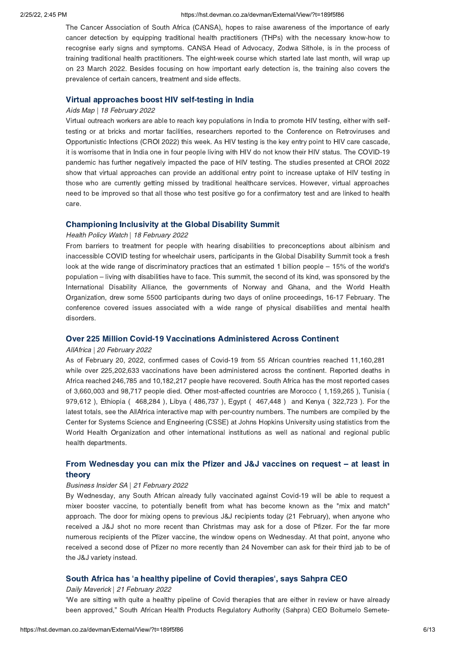### 2/25/22, 2:45 PM https://hst.devman.co.za/devman/External/View/?t=189f5f86

The Cancer Association of South Africa (CANSA), hopes to raise awareness of the importance of early cancer detection by equipping traditional health practitioners (THPs) with the necessary know-how to recognise early signs and symptoms. CANSA Head of Advocacy, Zodwa Sithole, is in the process of training traditional health practitioners. The eight-week course which started late last month, will wrap up on 23 March 2022. Besides focusing on how important early detection is, the training also covers the prevalence of certain cancers, treatment and side effects.

## Virtual approaches boost HIV self-testing in India Aids Map | 18 February 2022

Virtual outreach workers are able to reach key populations in India to promote HIV testing, either with selftesting or at bricks and mortar facilities, researchers reported to the Conference on Retroviruses and Opportunistic Infections (CROI 2022) this week. As HIV testing is the key entry point to HIV care cascade, it is worrisome that in India one in four people living with HIV do not know their HIV status. The COVID-19 pandemic has further negatively impacted the pace of HIV testing. The studies presented at CROI 2022 show that virtual approaches can provide an additional entry point to increase uptake of HIV testing in those who are currently getting missed by traditional healthcare services. However, virtual approaches need to be improved so that all those who test positive go for a confirmatory test and are linked to health care.

## Health Policy Watch | 18 February 2022

From barriers to treatment for people with hearing disabilities to preconceptions about albinism and inaccessible COVID testing for wheelchair users, participants in the Global Disability Summit took a fresh look at the wide range of discriminatory practices that an estimated 1 billion people – 15% of the world's population – living with disabilities have to face. This summit, the second of its kind, was sponsored by the International Disability Alliance, the governments of Norway and Ghana, and the World Health Organization, drew some 5500 participants during two days of online proceedings, 16-17 February. The conference covered issues associated with a wide range of physical disabilities and mental health disorders.

## Over 225 Million Covid-19 Vaccinations Administered Across Continent AllAfrica | 20 February 2022

As of February 20, 2022, confirmed cases of Covid-19 from 55 African countries reached 11,160,281 while over 225,202,633 vaccinations have been administered across the continent. Reported deaths in Africa reached 246,785 and 10,182,217 people have recovered. South Africa has the most reported cases of 3,660,003 and 98,717 people died. Other most-affected countries are Morocco ( 1,159,265 ), Tunisia ( 979,612 ), Ethiopia ( 468,284 ), Libya ( 486,737 ), Egypt ( 467,448 ) and Kenya ( 322,723 ). For the latest totals, see the AllAfrica interactive map with per-country numbers. The numbers are compiled by the Center for Systems Science and Engineering (CSSE) at Johns Hopkins University using statistics from the World Health Organization and other international institutions as well as national and regional public health departments.

# From [Wednesday](https://hst.devman.co.za/devman/external/?t=29ccd706) you can mix the Pfizer and J&J vaccines on request – at least in

## theory Business Insider SA | 21 February 2022

By Wednesday, any South African already fully vaccinated against Covid-19 will be able to request a mixer booster vaccine, to potentially benefit from what has become known as the "mix and match" approach. The door for mixing opens to previous J&J recipients today (21 February), when anyone who received a J&J shot no more recent than Christmas may ask for a dose of Pfizer. For the far more numerous recipients of the Pfizer vaccine, the window opens on Wednesday. At that point, anyone who received a second dose of Pfizer no more recently than 24 November can ask for their third jab to be of the J&J variety instead.

### South Africa has ['](https://hst.devman.co.za/devman/external/?t=f2757ab)a healthy pipeline of Covid therapies', says Sahpra CEO

### Daily Maverick | 21 February 2022

'We are sitting with quite a healthy pipeline of Covid therapies that are either in review or have already been approved," South African Health Products Regulatory Authority (Sahpra) CEO Boitumelo Semete-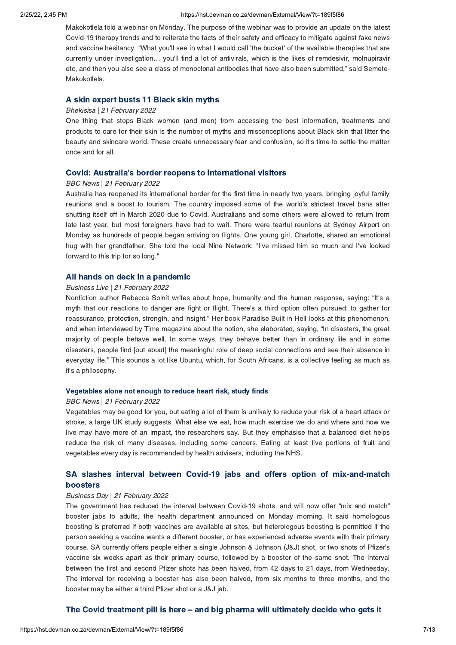### 2/25/22, 2:45 PM https://hst.devman.co.za/devman/External/View/?t=189f5f86

Makokotlela told a webinar on Monday. The purpose of the webinar was to provide an update on the latest Covid-19 therapy trends and to reiterate the facts of their safety and efficacy to mitigate against fake news and vaccine hesitancy. "What you'll see in what I would call 'the bucket' of the available therapies that are currently under investigation… you'll find a lot of antivirals, which is the likes of remdesivir, molnupiravir etc, and then you also see a class of monoclonal antibodies that have also been submitted," said Semete-Makokotlela.

## A skin expert busts 11 Black skin myths Bhekisisa | 21 February 2022

One thing that stops Black women (and men) from accessing the best information, treatments and products to care for their skin is the number of myths and misconceptions about Black skin that litter the beauty and skincare world. These create unnecessary fear and confusion, so it's time to settle the matter once and for all.

### Covid: Australia['](https://hst.devman.co.za/devman/external/?t=53ac345e)s border reopens to international visitors

### BBC News | 21 February 2022

Australia has reopened its international border for the first time in nearly two years, bringing joyful family reunions and a boost to tourism. The country imposed some of the world's strictest travel bans after shutting itself off in March 2020 due to Covid. Australians and some others were allowed to return from late last year, but most foreigners have had to wait. There were tearful reunions at Sydney Airport on Monday as hundreds of people began arriving on flights. One young girl, Charlotte, shared an emotional hug with her grandfather. She told the local Nine Network: "I've missed him so much and I've looked forward to this trip for so long."

## Business Live | 21 February 2022

Nonfiction author Rebecca Solnit writes about hope, humanity and the human response, saying: "It's a myth that our reactions to danger are fight or flight. There's a third option often pursued: to gather for reassurance, protection, strength, and insight." Her book Paradise Built in Hell looks at this phenomenon, and when interviewed by Time magazine about the notion, she elaborated, saying, "In disasters, the great majority of people behave well. In some ways, they behave better than in ordinary life and in some disasters, people find [out about] the meaningful role of deep social connections and see their absence in everyday life." This sounds a lot like Ubuntu, which, for South Africans, is a collective feeling as much as it's a philosophy.

## Vegetables alone not enough to reduce heart risk, study finds BBC News | 21 February 2022

Vegetables may be good for you, but eating a lot of them is unlikely to reduce your risk of a heart attack or stroke, a large UK study suggests. What else we eat, how much exercise we do and where and how we live may have more of an impact, the researchers say. But they emphasise that a balanced diet helps reduce the risk of many diseases, including some cancers. Eating at least five portions of fruit and vegetables every day is recommended by health advisers, including the NHS.

# SA slashes interval between Covid-19 jabs and offers option of [mix-and-match](https://hst.devman.co.za/devman/external/?t=3527803d)

## boosters Business Day | 21 February 2022

The government has reduced the interval between Covid-19 shots, and will now offer "mix and match" booster jabs to adults, the health department announced on Monday morning. It said homologous boosting is preferred if both vaccines are available at sites, but heterologous boosting is permitted if the person seeking a vaccine wants a different booster, or has experienced adverse events with their primary course. SA currently offers people either a single Johnson & Johnson (J&J) shot, or two shots of Pfizer's vaccine six weeks apart as their primary course, followed by a booster of the same shot. The interval between the first and second Pfizer shots has been halved, from 42 days to 21 days, from Wednesday. The interval for receiving a booster has also been halved, from six months to three months, and the booster may be either a third Pfizer shot or a J&J jab.

### The Covid treatment pill is here [–](https://hst.devman.co.za/devman/external/?t=3336c2e2) and big pharma will ultimately decide who gets it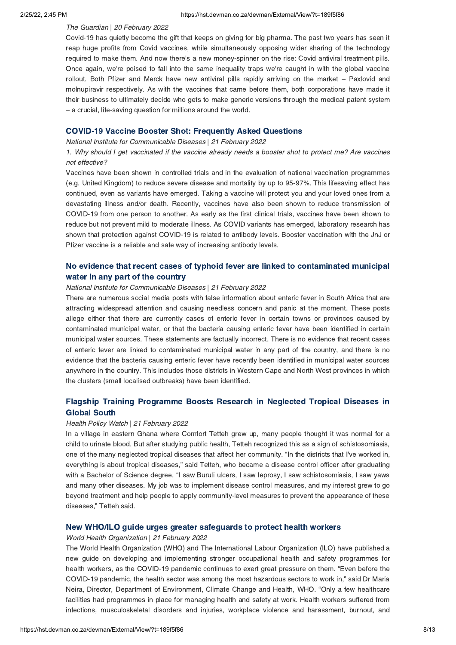### The Guardian | 20 February 2022

Covid-19 has quietly become the gift that keeps on giving for big pharma. The past two years has seen it reap huge profits from Covid vaccines, while simultaneously opposing wider sharing of the technology required to make them. And now there's a new money-spinner on the rise: Covid antiviral treatment pills. Once again, we're poised to fall into the same inequality traps we're caught in with the global vaccine rollout. Both Pfizer and Merck have new antiviral pills rapidly arriving on the market – Paxlovid and molnupiravir respectively. As with the vaccines that came before them, both corporations have made it their business to ultimately decide who gets to make generic versions through the medical patent system – a crucial, life-saving question for millions around the world.

COVID-19 Vaccine Booster Shot: Frequently Asked Questions National Institute for Communicable Diseases | 21 February 2022

1. Why should I get vaccinated if the vaccine already needs a booster shot to protect me? Are vaccines not effective?

Vaccines have been shown in controlled trials and in the evaluation of national vaccination programmes (e.g. United Kingdom) to reduce severe disease and mortality by up to 95-97%. This lifesaving effect has continued, even as variants have emerged. Taking a vaccine will protect you and your loved ones from a devastating illness and/or death. Recently, vaccines have also been shown to reduce transmission of COVID-19 from one person to another. As early as the first clinical trials, vaccines have been shown to reduce but not prevent mild to moderate illness. As COVID variants has emerged, laboratory research has shown that protection against COVID-19 is related to antibody levels. Booster vaccination with the JnJ or Pfizer vaccine is a reliable and safe way of increasing antibody levels.

# No evidence that recent cases of typhoid fever are linked to [contaminated](https://hst.devman.co.za/devman/external/?t=a1d15ca0) municipal water in any part of the country

Wational Institute for Communicable Diseases | 21 February 2022

There are numerous social media posts with false information about enteric fever in South Africa that are attracting widespread attention and causing needless concern and panic at the moment. These posts allege either that there are currently cases of enteric fever in certain towns or provinces caused by contaminated municipal water, or that the bacteria causing enteric fever have been identified in certain municipal water sources. These statements are factually incorrect. There is no evidence that recent cases of enteric fever are linked to contaminated municipal water in any part of the country, and there is no evidence that the bacteria causing enteric fever have recently been identified in municipal water sources anywhere in the country. This includes those districts in Western Cape and North West provinces in which the clusters (small localised outbreaks) have been identified.

# Flagship Training [Programme](https://hst.devman.co.za/devman/external/?t=14b20ec1) Boosts Research in Neglected Tropical Diseases in

## Global South Health Policy Watch | 21 February 2022

In a village in eastern Ghana where Comfort Tetteh grew up, many people thought it was normal for a child to urinate blood. But after studying public health, Tetteh recognized this as a sign of schistosomiasis, one of the many neglected tropical diseases that affect her community. "In the districts that I've worked in, everything is about tropical diseases," said Tetteh, who became a disease control officer after graduating with a Bachelor of Science degree. "I saw Buruli ulcers, I saw leprosy, I saw schistosomiasis, I saw yaws and many other diseases. My job was to implement disease control measures, and my interest grew to go beyond treatment and help people to apply community-level measures to prevent the appearance of these diseases," Tetteh said.

## New WHO/ILO guide urges greater safeguards to protect health workers World Health Organization | 21 February 2022

The World Health Organization (WHO) and The International Labour Organization (ILO) have published a new guide on developing and implementing stronger occupational health and safety programmes for health workers, as the COVID-19 pandemic continues to exert great pressure on them. "Even before the COVID-19 pandemic, the health sector was among the most hazardous sectors to work in," said Dr Maria Neira, Director, Department of Environment, Climate Change and Health, WHO. "Only a few healthcare facilities had programmes in place for managing health and safety at work. Health workers suffered from infections, musculoskeletal disorders and injuries, workplace violence and harassment, burnout, and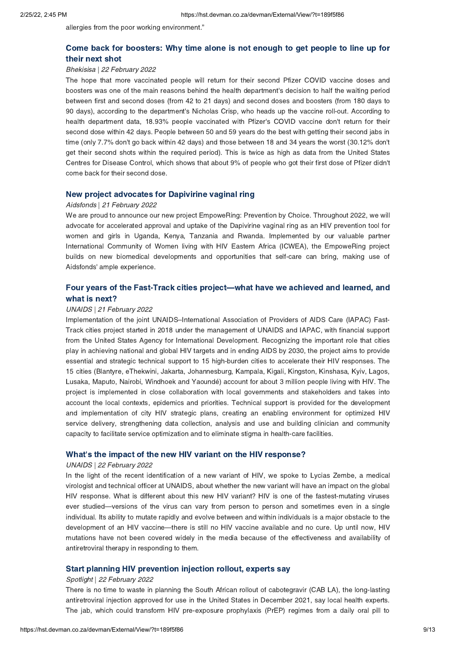allergies from the poor working environment."

# Come back for [boosters:](https://hst.devman.co.za/devman/external/?t=6ced4287) Why time alone is not enough to get people to line up for

## their next shot Bhekisisa | 22 February 2022

The hope that more vaccinated people will return for their second Pfizer COVID vaccine doses and boosters was one of the main reasons behind the health department's decision to half the waiting period between first and second doses (from 42 to 21 days) and second doses and boosters (from 180 days to 90 days), according to the department's Nicholas Crisp, who heads up the vaccine roll-out. According to health department data, 18.93% people vaccinated with Pfizer's COVID vaccine don't return for their second dose within 42 days. People between 50 and 59 years do the best with getting their second jabs in time (only 7.7% don't go back within 42 days) and those between 18 and 34 years the worst (30.12% don't get their second shots within the required period). This is twice as high as data from the United States Centres for Disease Control, which shows that about 9% of people who got their first dose of Pfizer didn't come back for their second dose.

## New project advocates for Dapivirine vaginal ring Aidsfonds | 21 February 2022

We are proud to announce our new project EmpoweRing: Prevention by Choice. Throughout 2022, we will advocate for accelerated approval and uptake of the Dapivirine vaginal ring as an HIV prevention tool for women and girls in Uganda, Kenya, Tanzania and Rwanda. Implemented by our valuable partner International Community of Women living with HIV Eastern Africa (ICWEA), the EmpoweRing project builds on new biomedical developments and opportunities that self-care can bring, making use of Aidsfonds' ample experience.

# Four years of the Fast-Track cities project[—what](https://hst.devman.co.za/devman/external/?t=7ac02f4e) have we achieved and learned, and

## UNAIDS | 21 February 2022

Implementation of the joint UNAIDS–International Association of Providers of AIDS Care (IAPAC) Fast-Track cities project started in 2018 under the management of UNAIDS and IAPAC, with financial support from the United States Agency for International Development. Recognizing the important role that cities play in achieving national and global HIV targets and in ending AIDS by 2030, the project aims to provide essential and strategic technical support to 15 high-burden cities to accelerate their HIV responses. The 15 cities (Blantyre, eThekwini, Jakarta, Johannesburg, Kampala, Kigali, Kingston, Kinshasa, Kyiv, Lagos, Lusaka, Maputo, Nairobi, Windhoek and Yaoundé) account for about 3 million people living with HIV. The project is implemented in close collaboration with local governments and stakeholders and takes into account the local contexts, epidemics and priorities. Technical support is provided for the development and implementation of city HIV strategic plans, creating an enabling environment for optimized HIV service delivery, strengthening data collection, analysis and use and building clinician and community capacity to facilitate service optimization and to eliminate stigma in health-care facilities.

### What['](https://hst.devman.co.za/devman/external/?t=767a15eb)s the impact of the new HIV variant on the HIV response?

### UNAIDS | 22 February 2022

In the light of the recent identification of a new variant of HIV, we spoke to Lycias Zembe, a medical virologist and technical officer at UNAIDS, about whether the new variant will have an impact on the global HIV response. What is different about this new HIV variant? HIV is one of the fastest-mutating viruses ever studied—versions of the virus can vary from person to person and sometimes even in a single individual. Its ability to mutate rapidly and evolve between and within individuals is a major obstacle to the development of an HIV vaccine—there is still no HIV vaccine available and no cure. Up until now, HIV mutations have not been covered widely in the media because of the effectiveness and availability of antiretroviral therapy in responding to them.

## Spotlight | 22 February 2022

There is no time to waste in planning the South African rollout of cabotegravir (CAB LA), the long-lasting antiretroviral injection approved for use in the United States in December 2021, say local health experts. The jab, which could transform HIV pre-exposure prophylaxis (PrEP) regimes from a daily oral pill to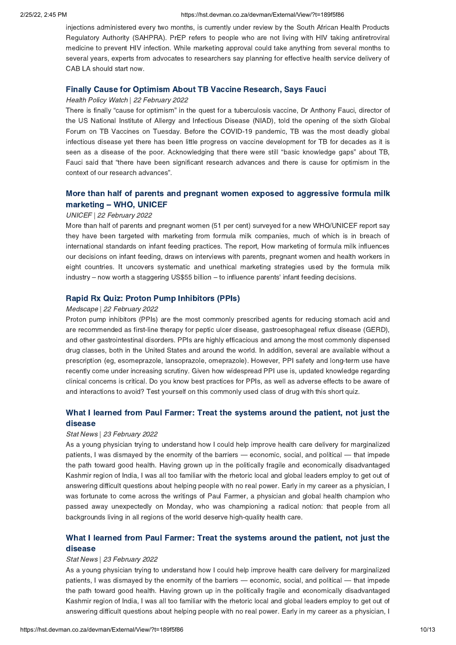injections administered every two months, is currently under review by the South African Health Products Regulatory Authority (SAHPRA). PrEP refers to people who are not living with HIV taking antiretroviral medicine to prevent HIV infection. While marketing approval could take anything from several months to several years, experts from advocates to researchers say planning for effective health service delivery of CAB LA should start now.

## Finally Cause for Optimism About TB Vaccine Research, Says Fauci Health Policy Watch | 22 February 2022

There is finally "cause for optimism" in the quest for a tuberculosis vaccine, Dr Anthony Fauci, director of the US National Institute of Allergy and Infectious Disease (NIAD), told the opening of the sixth Global Forum on TB Vaccines on Tuesday. Before the COVID-19 pandemic, TB was the most deadly global infectious disease yet there has been little progress on vaccine development for TB for decades as it is seen as a disease of the poor. Acknowledging that there were still "basic knowledge gaps" about TB, Fauci said that "there have been significant research advances and there is cause for optimism in the context of our research advances".

# marketing – WHO, UNICEF<br>UNICEF | 22 February 2022

### UNICEF | 22 February 2022

More than half of parents and pregnant women (51 per cent) surveyed for a new WHO/UNICEF report say they have been targeted with marketing from formula milk companies, much of which is in breach of international standards on infant feeding practices. The report, How marketing of formula milk influences our decisions on infant feeding, draws on interviews with parents, pregnant women and health workers in eight countries. It uncovers systematic and unethical marketing strategies used by the formula milk industry – now worth a staggering US\$55 billion – to influence parents' infant feeding decisions.

## Rapid Rx Quiz: Proton Pump Inhibitors (Person)<br>Medscape | 22 February 2022

Proton pump inhibitors (PPIs) are the most commonly prescribed agents for reducing stomach acid and are recommended as first-line therapy for peptic ulcer disease, gastroesophageal reflux disease (GERD), and other gastrointestinal disorders. PPIs are highly efficacious and among the most commonly dispensed drug classes, both in the United States and around the world. In addition, several are available without a prescription (eg, esomeprazole, lansoprazole, omeprazole). However, PPI safety and long-term use have recently come under increasing scrutiny. Given how widespread PPI use is, updated knowledge regarding clinical concerns is critical. Do you know best practices for PPIs, as well as adverse effects to be aware of and interactions to avoid? Test yourself on this commonly used class of drug with this short quiz.

# What I learned from Paul Farmer: Treat the [systems](https://hst.devman.co.za/devman/external/?t=c8e55690) around the patient, not just the

## disease Stat News | 23 February 2022

As a young physician trying to understand how I could help improve health care delivery for marginalized patients, I was dismayed by the enormity of the barriers — economic, social, and political — that impede the path toward good health. Having grown up in the politically fragile and economically disadvantaged Kashmir region of India, I was all too familiar with the rhetoric local and global leaders employ to get out of answering difficult questions about helping people with no real power. Early in my career as a physician, I was fortunate to come across the writings of Paul Farmer, a physician and global health champion who passed away unexpectedly on Monday, who was championing a radical notion: that people from all backgrounds living in all regions of the world deserve high-quality health care.

# What I learned from Paul Farmer: Treat the [systems](https://hst.devman.co.za/devman/external/?t=c8e55690) around the patient, not just the

## disease Stat News | 23 February 2022

As a young physician trying to understand how I could help improve health care delivery for marginalized patients, I was dismayed by the enormity of the barriers — economic, social, and political — that impede the path toward good health. Having grown up in the politically fragile and economically disadvantaged Kashmir region of India, I was all too familiar with the rhetoric local and global leaders employ to get out of answering difficult questions about helping people with no real power. Early in my career as a physician, I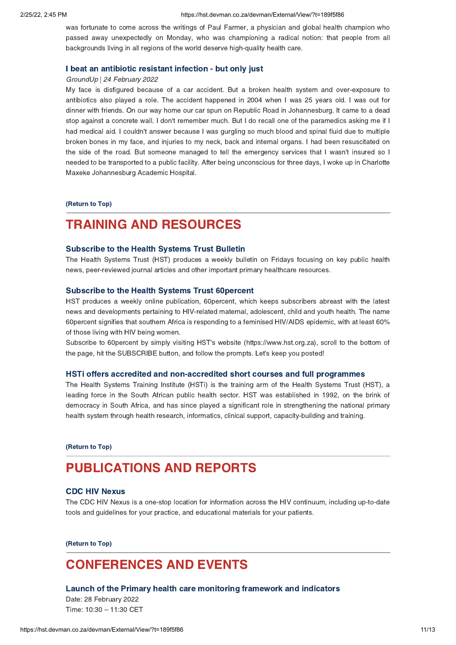was fortunate to come across the writings of Paul Farmer, a physician and global health champion who passed away unexpectedly on Monday, who was championing a radical notion: that people from all backgrounds living in all regions of the world deserve high-quality health care.

## I beat an antibiotic resistant infection - but only just GroundUp | 24 February 2022

My face is disfigured because of a car accident. But a broken health system and over-exposure to antibiotics also played a role. The accident happened in 2004 when I was 25 years old. I was out for dinner with friends. On our way home our car spun on Republic Road in Johannesburg. It came to a dead stop against a concrete wall. I don't remember much. But I do recall one of the paramedics asking me if I had medical aid. I couldn't answer because I was gurgling so much blood and spinal fluid due to multiple broken bones in my face, and injuries to my neck, back and internal organs. I had been resuscitated on the side of the road. But someone managed to tell the emergency services that I wasn't insured so I needed to be transported to a public facility. After being unconscious for three days, I woke up in Charlotte Maxeke Johannesburg Academic Hospital.

(Return to Top)

## <span id="page-10-0"></span>**TRAINING AND RESOURCES**

### **Subscribe to the Health Systems Trust Bulletin**

The Health Systems Trust (HST) produces a weekly bulletin on Fridays focusing on key public health news, peer-reviewed journal articles and other important primary healthcare resources.

HST produces a weekly online publication, 60percent, which keeps subscribers abreast with the latest news and developments pertaining to HIV-related maternal, adolescent, child and youth health. The name 60percent signifies that southern Africa is responding to a feminised HIV/AIDS epidemic, with at least 60% of those living with HIV being women.

Subscribe to 60percent by simply visiting HST's website (https://www.hst.org.za), scroll to the bottom of the page, hit the SUBSCRIBE button, and follow the prompts. Let's keep you posted!

The Health Systems Training Institute (HSTi) is the training arm of the Health Systems Trust (HST), a leading force in the South African public health sector. HST was established in 1992, on the brink of democracy in South Africa, and has since played a significant role in strengthening the national primary health system through health research, informatics, clinical support, capacity-building and training.

(Return to Top)

## **PUBLICATIONS AND REPORTS** [PUBLICAT](https://hst.devman.co.za/devman/external/?t=8d2c5d09)IONS AND REPORTS.

CDC HIV Nexus The CDC HIV Nexus is a one-stop location for information across the HIV continuum, including up-to-date tools and guidelines for your practice, and educational materials for your patients.

(Return to Top)

## <span id="page-10-1"></span>**CONFERENCES AND EVENTS**

### Launch of the Primary health care monitoring framework and indicators Date: 28 February 2022

Time: 10:30 – 11:30 CET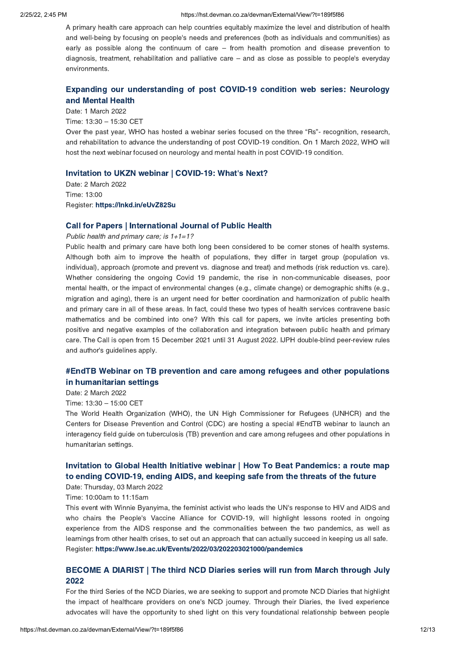A primary health care approach can help countries equitably maximize the level and distribution of health and well-being by focusing on people's needs and preferences (both as individuals and communities) as early as possible along the continuum of care – from health promotion and disease prevention to diagnosis, treatment, rehabilitation and palliative care – and as close as possible to people's everyday environments.

# Expanding our [understanding](https://hst.devman.co.za/devman/external/?t=fbc6f5c7) of post COVID-19 condition web series: Neurology

and Mental Health Date: 1 March 2022 Time: 13:30 – 15:30 CET Over the past year, WHO has hosted a webinar series focused on the three "Rs"- recognition, research, and rehabilitation to advance the understanding of post COVID-19 condition. On 1 March 2022, WHO will host the next webinar focused on neurology and mental health in post COVID-19 condition.

### Invitation to UKZN webinar | COVID-19: What['](https://hst.devman.co.za/devman/external/?t=f9d6386c)s Next?

Date: 2 March 2022 Time: 13:00 Register: https://Inkd.in/eUvZ82Su https://lnkd.in/eUvZ82Su

Public health and primary care; is  $1+1=1$ ?

Public health and primary care have both long been considered to be corner stones of health systems. Although both aim to improve the health of populations, they differ in target group (population vs. individual), approach (promote and prevent vs. diagnose and treat) and methods (risk reduction vs. care). Whether considering the ongoing Covid 19 pandemic, the rise in non-communicable diseases, poor mental health, or the impact of environmental changes (e.g., climate change) or demographic shifts (e.g., migration and aging), there is an urgent need for better coordination and harmonization of public health and primary care in all of these areas. In fact, could these two types of health services contravene basic mathematics and be combined into one? With this call for papers, we invite articles presenting both positive and negative examples of the collaboration and integration between public health and primary care. The Call is open from 15 December 2021 until 31 August 2022. IJPH double-blind peer-review rules and author's guidelines apply.

# #EndTB Webinar on TB prevention and care among refugees and other [populations](https://hst.devman.co.za/devman/external/?t=6870d22a)<br>in humanitarian settings

in humanitarian settings Date: 2 March 2022

Time: 13:30 – 15:00 CET

The World Health Organization (WHO), the UN High Commissioner for Refugees (UNHCR) and the Centers for Disease Prevention and Control (CDC) are hosting a special #EndTB webinar to launch an interagency field guide on tuberculosis (TB) prevention and care among refugees and other populations in humanitarian settings.

## Invitation to Global Health Initiative webinar | How To Beat [Pandemics:](https://hst.devman.co.za/devman/external/?t=db51844b) a route map to ending COVID-19, ending AIDS, and keeping safe from the threats of the future to ending COVID-19, ending AIDS, and keeping safe from the threats of the future Date: Thursday, 03 March 2022

Time: 10:00am to 11:15am

This event with Winnie Byanyima, the feminist activist who leads the UN's response to HIV and AIDS and who chairs the People's Vaccine Alliance for COVID-19, will highlight lessons rooted in ongoing experience from the AIDS response and the commonalities between the two pandemics, as well as learnings from other health crises, to set out an approach that can actually succeed in keeping us all safe. Register: https://www.lse.ac.uk/Events/2022/03/202203021000/pandemics https://www.lse.ac.uk/Events/2022/03/202203021000/pandemics

# $2022$

For the third Series of the NCD Diaries, we are seeking to support and promote NCD Diaries that highlight the impact of healthcare providers on one's NCD journey. Through their Diaries, the lived experience advocates will have the opportunity to shed light on this very foundational relationship between people